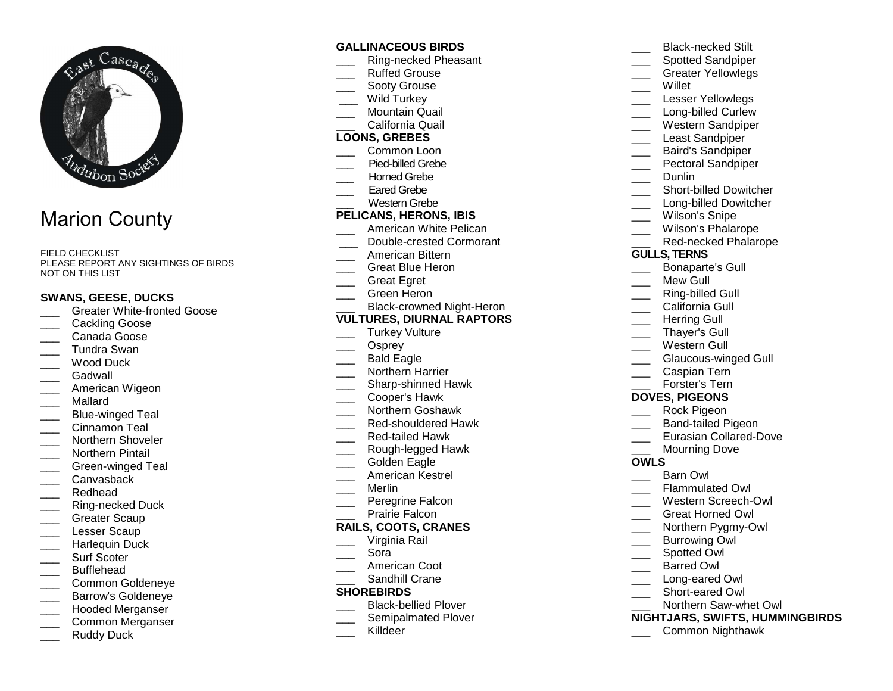

# Marion County

FIELD CHECKLIST PLEASE REPORT ANY SIGHTINGS OF BIRDS NOT ON THIS LIST

#### **SWANS, GEESE, DUCKS**

- \_\_\_ Greater White-fronted Goose
- Cackling Goose
- \_\_\_ Canada Goose
- \_\_\_ Tundra Swan
- Wood Duck
- Gadwall
- \_\_\_ American Wigeon
- \_\_\_ Mallard
- \_\_\_ Blue-winged Teal
- Cinnamon Teal
- \_\_\_ Northern Shoveler
- \_\_\_ Northern Pintail
- \_\_\_ Green-winged Teal
- \_\_\_ Canvasback
- \_\_\_ Redhead
- \_\_\_ Ring-necked Duck
- Greater Scaup
- Lesser Scaup
- \_\_\_ Harlequin Duck
- Surf Scoter
- \_\_\_ Bufflehead
- \_\_\_ Common Goldeneye
- Barrow's Goldeneye
- \_\_\_ Hooded Merganser
- \_\_\_ Common Merganser
- Ruddy Duck

#### **GALLINACEOUS BIRDS**

- \_\_\_ Ring-necked Pheasant
- Ruffed Grouse
- Sooty Grouse
- Wild Turkey
- \_\_\_ Mountain Quail \_\_\_ California Quail

#### **LOONS, GREBES**

- \_\_\_ Common Loon
- **\_\_\_** Pied-billed Grebe
- \_\_\_ Horned Grebe
- Eared Grebe
- \_\_\_ Western Grebe

#### **PELICANS, HERONS, IBIS**

- \_\_\_ American White Pelican
- \_\_\_ Double-crested Cormorant
- \_\_\_ American Bittern
- \_\_\_ Great Blue Heron
- Great Egret
- \_\_\_ Green Heron
- \_\_\_ Black-crowned Night-Heron

#### **VULTURES, DIURNAL RAPTORS**

- Turkey Vulture
- Osprey
- \_\_\_ Bald Eagle
- \_\_\_ Northern Harrier
- \_\_\_\_ Sharp-shinned Hawk
- \_\_\_ Cooper's Hawk
- \_\_\_ Northern Goshawk
- \_\_\_ Red-shouldered Hawk
- \_\_\_ Red-tailed Hawk
- \_\_\_ Rough-legged Hawk
- Golden Eagle
- \_\_\_ American Kestrel
- \_\_\_ Merlin
- \_\_\_ Peregrine Falcon
- Prairie Falcon

# **RAILS, COOTS, CRANES**

- \_\_\_ Virginia Rail
- \_\_\_ Sora
- \_\_\_ American Coot
- \_\_\_ Sandhill Crane

## **SHOREBIRDS**

- \_\_\_\_ Black-bellied Plover
- \_\_\_\_ Semipalmated Plover
- Killdeer

\_\_\_\_ Spotted Sandpiper \_\_\_ Greater Yellowlegs \_\_\_ Willet \_\_\_ Lesser Yellowlegs \_\_\_\_ Long-billed Curlew \_\_\_ Western Sandpiper Least Sandpiper \_\_\_ Baird's Sandpiper \_\_\_ Pectoral Sandpiper Dunlin

\_\_\_ Black-necked Stilt

- \_\_\_\_ Short-billed Dowitcher
- \_\_\_\_ Long-billed Dowitcher
- Wilson's Snipe
- \_\_\_ Wilson's Phalarope
- \_\_\_ Red-necked Phalarope
- **GULLS, TERNS**
- \_\_\_ Bonaparte's Gull
- Mew Gull
- \_\_\_ Ring-billed Gull
- California Gull
- Herring Gull
- \_\_\_ Thayer's Gull
- \_\_\_ Western Gull
- \_\_\_ Glaucous-winged Gull
- \_\_\_ Caspian Tern
- \_\_\_ Forster's Tern

#### **DOVES, PIGEONS**

- \_\_\_ Rock Pigeon
- \_\_\_ Band-tailed Pigeon
- \_\_\_ Eurasian Collared-Dove
- Mourning Dove

#### **OWLS**

\_\_\_ Barn Owl

\_\_\_\_ Spotted Owl \_\_\_ Barred Owl \_\_\_ Long-eared Owl \_\_\_ Short-eared Owl \_\_\_ Northern Saw-whet Owl

\_\_\_ Flammulated Owl

 \_\_\_ Western Screech-Owl \_\_\_ Great Horned Owl \_\_\_ Northern Pygmy-Owl Burrowing Owl

**NIGHTJARS, SWIFTS, HUMMINGBIRDS**

\_\_\_ Common Nighthawk